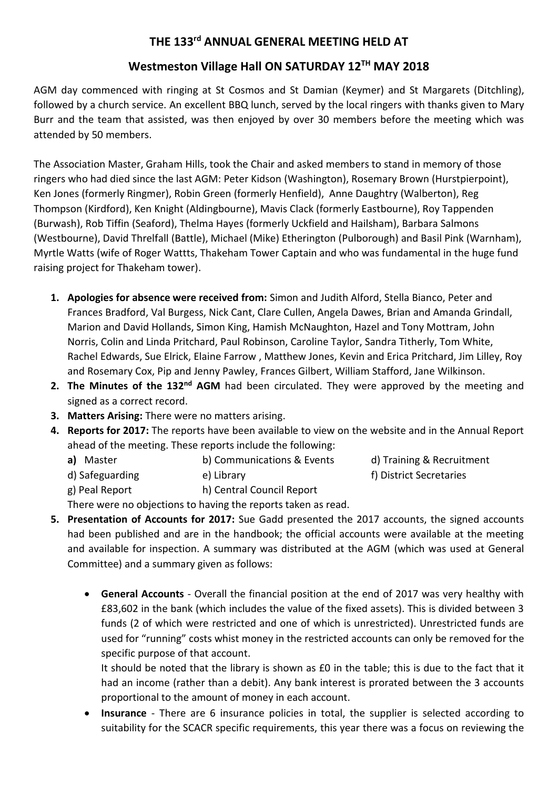## **THE 133 rd ANNUAL GENERAL MEETING HELD AT**

# **Westmeston Village Hall ON SATURDAY 12 TH MAY 2018**

AGM day commenced with ringing at St Cosmos and St Damian (Keymer) and St Margarets (Ditchling), followed by a church service. An excellent BBQ lunch, served by the local ringers with thanks given to Mary Burr and the team that assisted, was then enjoyed by over 30 members before the meeting which was attended by 50 members.

The Association Master, Graham Hills, took the Chair and asked members to stand in memory of those ringers who had died since the last AGM: Peter Kidson (Washington), Rosemary Brown (Hurstpierpoint), Ken Jones (formerly Ringmer), Robin Green (formerly Henfield), Anne Daughtry (Walberton), Reg Thompson (Kirdford), Ken Knight (Aldingbourne), Mavis Clack (formerly Eastbourne), Roy Tappenden (Burwash), Rob Tiffin (Seaford), Thelma Hayes (formerly Uckfield and Hailsham), Barbara Salmons (Westbourne), David Threlfall (Battle), Michael (Mike) Etherington (Pulborough) and Basil Pink (Warnham), Myrtle Watts (wife of Roger Wattts, Thakeham Tower Captain and who was fundamental in the huge fund raising project for Thakeham tower).

- **1. Apologies for absence were received from:** Simon and Judith Alford, Stella Bianco, Peter and Frances Bradford, Val Burgess, Nick Cant, Clare Cullen, Angela Dawes, Brian and Amanda Grindall, Marion and David Hollands, Simon King, Hamish McNaughton, Hazel and Tony Mottram, John Norris, Colin and Linda Pritchard, Paul Robinson, Caroline Taylor, Sandra Titherly, Tom White, Rachel Edwards, Sue Elrick, Elaine Farrow , Matthew Jones, Kevin and Erica Pritchard, Jim Lilley, Roy and Rosemary Cox, Pip and Jenny Pawley, Frances Gilbert, William Stafford, Jane Wilkinson.
- 2. The Minutes of the 132<sup>nd</sup> AGM had been circulated. They were approved by the meeting and signed as a correct record.
- **3. Matters Arising:** There were no matters arising.
- **4. Reports for 2017:** The reports have been available to view on the website and in the Annual Report ahead of the meeting. These reports include the following:
	- **a)** Master **b)** Communications & Events d) Training & Recruitment
	- d) Safeguarding e) Library example to the strict Secretaries (b) District Secretaries
		-
- 
- 
- g) Peal Report h) Central Council Report There were no objections to having the reports taken as read.
- **5. Presentation of Accounts for 2017:** Sue Gadd presented the 2017 accounts, the signed accounts had been published and are in the handbook; the official accounts were available at the meeting and available for inspection. A summary was distributed at the AGM (which was used at General Committee) and a summary given as follows:
	- **General Accounts** Overall the financial position at the end of 2017 was very healthy with £83,602 in the bank (which includes the value of the fixed assets). This is divided between 3 funds (2 of which were restricted and one of which is unrestricted). Unrestricted funds are used for "running" costs whist money in the restricted accounts can only be removed for the specific purpose of that account.

It should be noted that the library is shown as £0 in the table; this is due to the fact that it had an income (rather than a debit). Any bank interest is prorated between the 3 accounts proportional to the amount of money in each account.

• **Insurance** - There are 6 insurance policies in total, the supplier is selected according to suitability for the SCACR specific requirements, this year there was a focus on reviewing the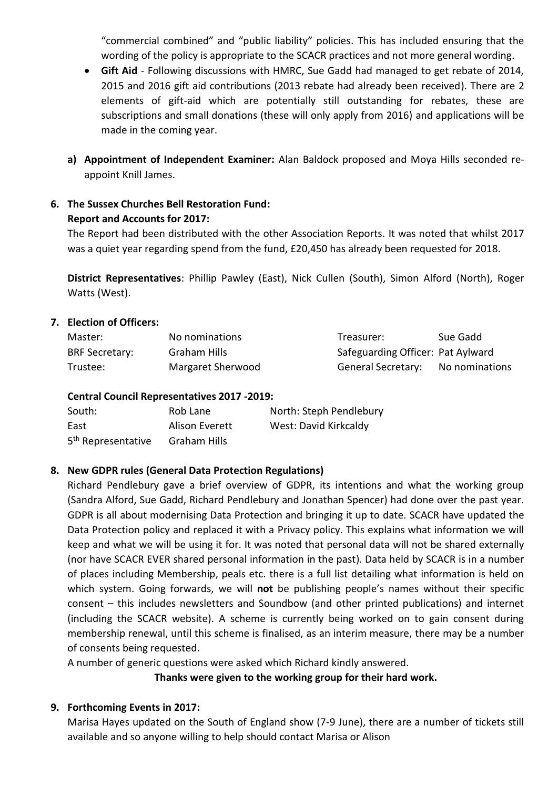"commercial combined" and "public liability" policies. This has included ensuring that the wording of the policy is appropriate to the SCACR practices and not more general wording.

- **Gift Aid**  Following discussions with HMRC, Sue Gadd had managed to get rebate of 2014, 2015 and 2016 gift aid contributions (2013 rebate had already been received). There are 2 elements of gift-aid which are potentially still outstanding for rebates, these are subscriptions and small donations (these will only apply from 2016) and applications will be made in the coming year.
- **a) Appointment of Independent Examiner:** Alan Baldock proposed and Moya Hills seconded reappoint Knill James.
- **6. The Sussex Churches Bell Restoration Fund: Report and Accounts for 2017:**

The Report had been distributed with the other Association Reports. It was noted that whilst 2017 was a quiet year regarding spend from the fund, £20,450 has already been requested for 2018.

**District Representatives**: Phillip Pawley (East), Nick Cullen (South), Simon Alford (North), Roger Watts (West).

#### **7. Election of Officers:**

| Master:               | No nominations    | Treasurer:                        | Sue Gadd |
|-----------------------|-------------------|-----------------------------------|----------|
| <b>BRF Secretary:</b> | Graham Hills      | Safeguarding Officer: Pat Aylward |          |
| Trustee:              | Margaret Sherwood | General Secretary: No nominations |          |

#### **Central Council Representatives 2017 -2019:**

| South:                         | Rob Lane       | North: Steph Pendlebury |
|--------------------------------|----------------|-------------------------|
| East                           | Alison Everett | West: David Kirkcaldy   |
| 5 <sup>th</sup> Representative | Graham Hills   |                         |

#### **8. New GDPR rules (General Data Protection Regulations)**

Richard Pendlebury gave a brief overview of GDPR, its intentions and what the working group (Sandra Alford, Sue Gadd, Richard Pendlebury and Jonathan Spencer) had done over the past year. GDPR is all about modernising Data Protection and bringing it up to date. SCACR have updated the Data Protection policy and replaced it with a Privacy policy. This explains what information we will keep and what we will be using it for. It was noted that personal data will not be shared externally (nor have SCACR EVER shared personal information in the past). Data held by SCACR is in a number of places including Membership, peals etc. there is a full list detailing what information is held on which system. Going forwards, we will **not** be publishing people's names without their specific consent – this includes newsletters and Soundbow (and other printed publications) and internet (including the SCACR website). A scheme is currently being worked on to gain consent during membership renewal, until this scheme is finalised, as an interim measure, there may be a number of consents being requested.

A number of generic questions were asked which Richard kindly answered.

**Thanks were given to the working group for their hard work.**

#### **9. Forthcoming Events in 2017:**

Marisa Hayes updated on the South of England show (7-9 June), there are a number of tickets still available and so anyone willing to help should contact Marisa or Alison